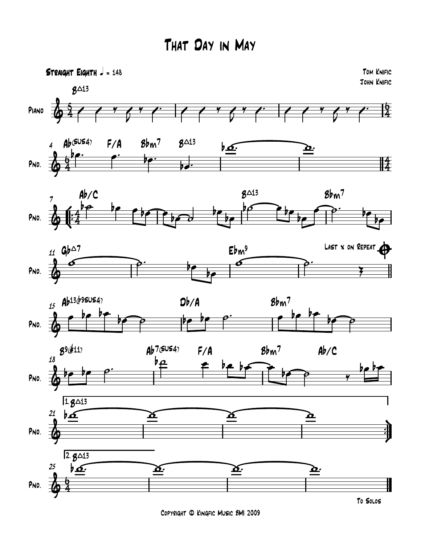